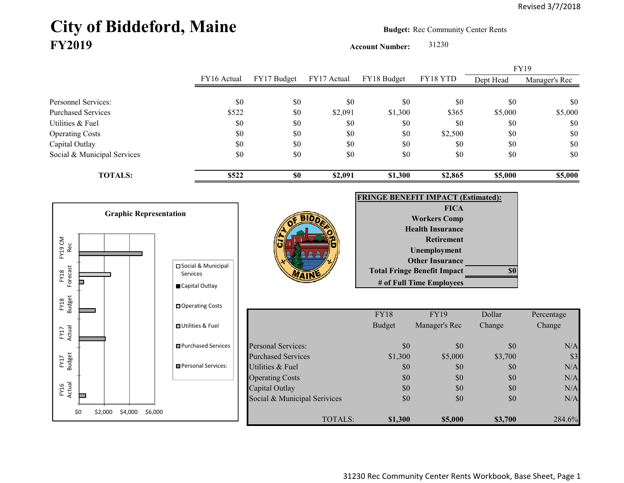## City of Biddeford, Maine **Budget:** Rec Community Center Rents **FY2019**

**Account Number:** 31230

| FY16 Actual |             |             |             |          | <b>FY19</b> |               |
|-------------|-------------|-------------|-------------|----------|-------------|---------------|
|             | FY17 Budget | FY17 Actual | FY18 Budget | FY18 YTD | Dept Head   | Manager's Rec |
|             |             |             |             |          |             |               |
|             |             |             |             |          |             | \$0           |
| \$522       | \$0         | \$2,091     | \$1,300     | \$365    | \$5,000     | \$5,000       |
| \$0         | \$0         | \$0         | \$0         | \$0      | \$0         | \$0           |
| \$0         | \$0         | \$0         | \$0         | \$2,500  | \$0         | \$0           |
| \$0         | \$0         | \$0         | \$0         | \$0      | \$0         | \$0           |
| \$0         | \$0         | \$0         | \$0         | \$0      | \$0         | \$0           |
| \$522       | <b>SO</b>   | \$2,091     | \$1,300     | \$2,865  | \$5,000     | \$5,000       |
|             | \$0         | \$0         | \$0         | \$0      | \$0         | \$0           |

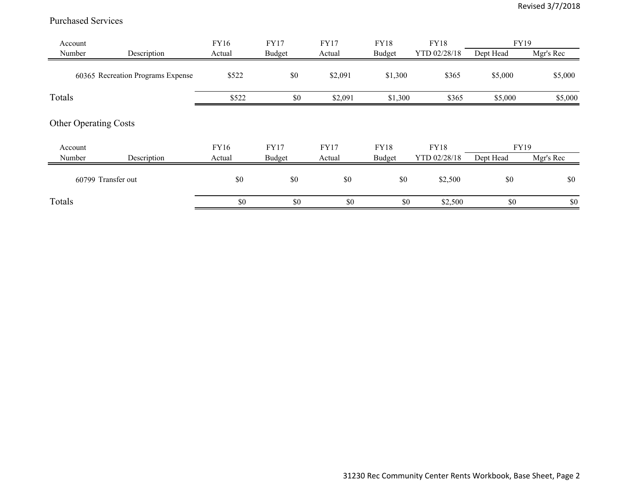## Purchased Services

| Account           |                                   | FY16           | <b>FY17</b>                  | <b>FY17</b>           | <b>FY18</b>                  | <b>FY18</b>                 | <b>FY19</b>              |           |
|-------------------|-----------------------------------|----------------|------------------------------|-----------------------|------------------------------|-----------------------------|--------------------------|-----------|
| Number            | Description                       | Actual         | <b>Budget</b>                | Actual                | <b>Budget</b>                | YTD 02/28/18                | Dept Head                | Mgr's Rec |
|                   | 60365 Recreation Programs Expense | \$522          | \$0                          | \$2,091               | \$1,300                      | \$365                       | \$5,000                  | \$5,000   |
| Totals            |                                   | \$522          | \$0                          | \$2,091               | \$1,300                      | \$365                       | \$5,000                  | \$5,000   |
|                   | <b>Other Operating Costs</b>      |                |                              |                       |                              |                             |                          |           |
| Account<br>Number | Description                       | FY16<br>Actual | <b>FY17</b><br><b>Budget</b> | <b>FY17</b><br>Actual | <b>FY18</b><br><b>Budget</b> | <b>FY18</b><br>YTD 02/28/18 | <b>FY19</b><br>Dept Head | Mgr's Rec |
|                   | 60799 Transfer out                | \$0            | \$0                          | \$0                   | \$0                          | \$2,500                     | \$0                      | \$0       |
| Totals            |                                   | \$0            | \$0                          | \$0                   | \$0                          | \$2,500                     | \$0                      | \$0       |